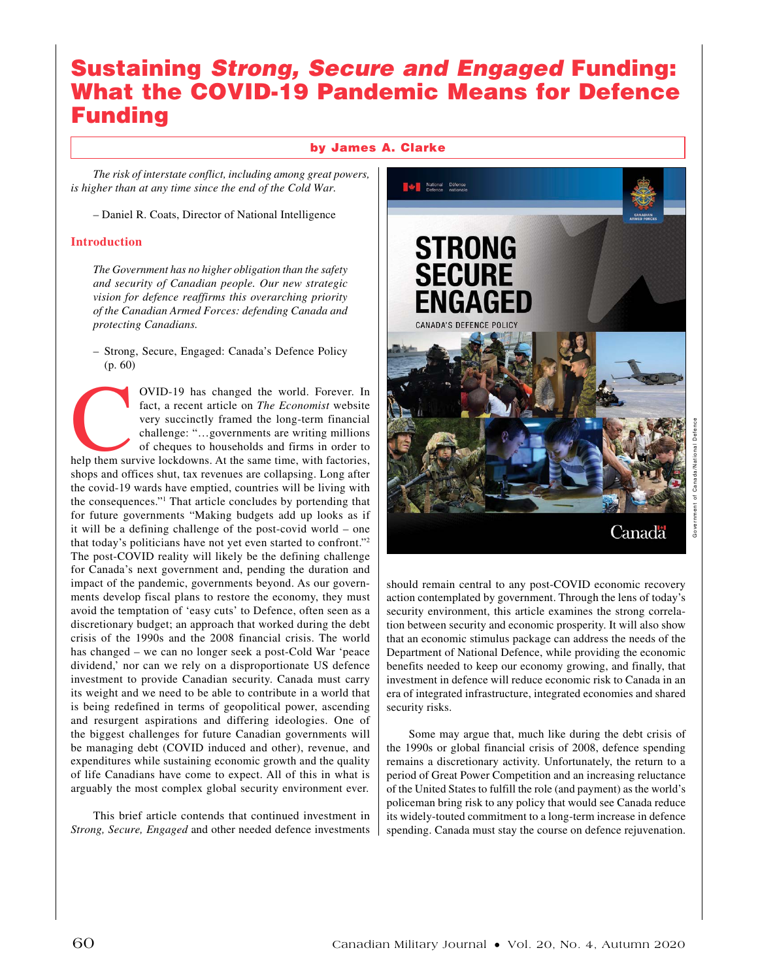# Sustaining *Strong, Secure and Engaged* Funding: What the COVID-19 Pandemic Means for Defence Funding

## by James A. Clarke

*The risk of interstate conflict, including among great powers, is higher than at any time since the end of the Cold War.*

– Daniel R. Coats, Director of National Intelligence

### **Introduction**

*The Government has no higher obligation than the safety and security of Canadian people. Our new strategic vision for defence reaffirms this overarching priority of the Canadian Armed Forces: defending Canada and protecting Canadians.*

– Strong, Secure, Engaged: Canada's Defence Policy (p. 60)

OVID-19 has changed the world. Forever. In fact, a recent article on *The Economist* website very succinctly framed the long-term financial challenge: "...governments are writing millions of cheques to households and firms fact, a recent article on *The Economist* website very succinctly framed the long-term financial challenge: "…governments are writing millions of cheques to households and firms in order to shops and offices shut, tax revenues are collapsing. Long after the covid-19 wards have emptied, countries will be living with the consequences."1 That article concludes by portending that for future governments "Making budgets add up looks as if it will be a defining challenge of the post-covid world – one that today's politicians have not yet even started to confront."2 The post-COVID reality will likely be the defining challenge for Canada's next government and, pending the duration and impact of the pandemic, governments beyond. As our governments develop fiscal plans to restore the economy, they must avoid the temptation of 'easy cuts' to Defence, often seen as a discretionary budget; an approach that worked during the debt crisis of the 1990s and the 2008 financial crisis. The world has changed – we can no longer seek a post-Cold War 'peace dividend,' nor can we rely on a disproportionate US defence investment to provide Canadian security. Canada must carry its weight and we need to be able to contribute in a world that is being redefined in terms of geopolitical power, ascending and resurgent aspirations and differing ideologies. One of the biggest challenges for future Canadian governments will be managing debt (COVID induced and other), revenue, and expenditures while sustaining economic growth and the quality of life Canadians have come to expect. All of this in what is arguably the most complex global security environment ever.

This brief article contends that continued investment in *Strong, Secure, Engaged* and other needed defence investments



should remain central to any post-COVID economic recovery action contemplated by government. Through the lens of today's security environment, this article examines the strong correlation between security and economic prosperity. It will also show that an economic stimulus package can address the needs of the Department of National Defence, while providing the economic benefits needed to keep our economy growing, and finally, that investment in defence will reduce economic risk to Canada in an era of integrated infrastructure, integrated economies and shared security risks.

Some may argue that, much like during the debt crisis of the 1990s or global financial crisis of 2008, defence spending remains a discretionary activity. Unfortunately, the return to a period of Great Power Competition and an increasing reluctance of the United States to fulfill the role (and payment) as the world's policeman bring risk to any policy that would see Canada reduce its widely-touted commitment to a long-term increase in defence spending. Canada must stay the course on defence rejuvenation.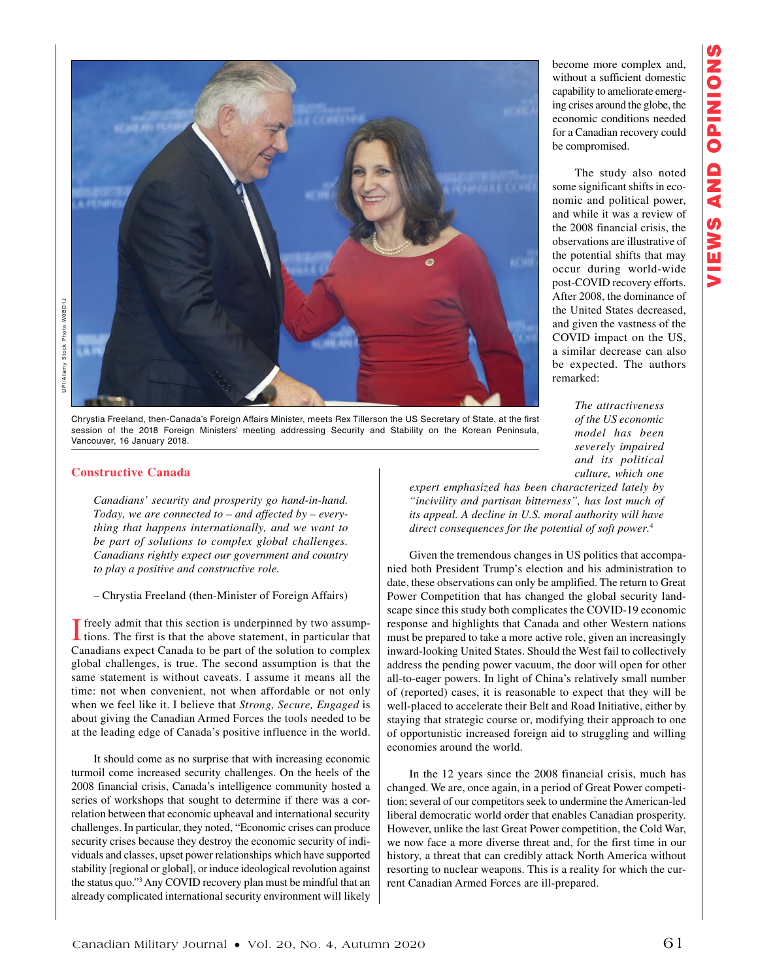

Chrystia Freeland, then-Canada's Foreign Affairs Minister, meets Rex Tillerson the US Secretary of State, at the first session of the 2018 Foreign Ministers' meeting addressing Security and Stability on the Korean Peninsula, Vancouver, 16 January 2018.

### **Constructive Canada**

*Canadians' security and prosperity go hand-in-hand. Today, we are connected to – and affected by – everything that happens internationally, and we want to be part of solutions to complex global challenges. Canadians rightly expect our government and country to play a positive and constructive role.*

#### – Chrystia Freeland (then-Minister of Foreign Affairs)

I freely admit that this section is underpinned by two assump-tions. The first is that the above statement, in particular that Canadians expect Canada to be part of the solution to complex global challenges, is true. The second assumption is that the same statement is without caveats. I assume it means all the time: not when convenient, not when affordable or not only when we feel like it. I believe that *Strong, Secure, Engaged* is about giving the Canadian Armed Forces the tools needed to be at the leading edge of Canada's positive influence in the world.

It should come as no surprise that with increasing economic turmoil come increased security challenges. On the heels of the 2008 financial crisis, Canada's intelligence community hosted a series of workshops that sought to determine if there was a correlation between that economic upheaval and international security challenges. In particular, they noted, "Economic crises can produce security crises because they destroy the economic security of individuals and classes, upset power relationships which have supported stability [regional or global], or induce ideological revolution against the status quo."3 Any COVID recovery plan must be mindful that an already complicated international security environment will likely

become more complex and, without a sufficient domestic capability to ameliorate emerging crises around the globe, the economic conditions needed for a Canadian recovery could be compromised.

The study also noted some significant shifts in economic and political power, and while it was a review of the 2008 financial crisis, the observations are illustrative of the potential shifts that may occur during world-wide post-COVID recovery efforts. After 2008, the dominance of the United States decreased, and given the vastness of the COVID impact on the US, a similar decrease can also be expected. The authors remarked:

> *The attractiveness of the US economic model has been severely impaired and its political culture, which one*

*expert emphasized has been characterized lately by "incivility and partisan bitterness", has lost much of its appeal. A decline in U.S. moral authority will have direct consequences for the potential of soft power.*<sup>4</sup>

Given the tremendous changes in US politics that accompanied both President Trump's election and his administration to date, these observations can only be amplified. The return to Great Power Competition that has changed the global security landscape since this study both complicates the COVID-19 economic response and highlights that Canada and other Western nations must be prepared to take a more active role, given an increasingly inward-looking United States. Should the West fail to collectively address the pending power vacuum, the door will open for other all-to-eager powers. In light of China's relatively small number of (reported) cases, it is reasonable to expect that they will be well-placed to accelerate their Belt and Road Initiative, either by staying that strategic course or, modifying their approach to one of opportunistic increased foreign aid to struggling and willing economies around the world.

In the 12 years since the 2008 financial crisis, much has changed. We are, once again, in a period of Great Power competition; several of our competitors seek to undermine the American-led liberal democratic world order that enables Canadian prosperity. However, unlike the last Great Power competition, the Cold War, we now face a more diverse threat and, for the first time in our history, a threat that can credibly attack North America without resorting to nuclear weapons. This is a reality for which the current Canadian Armed Forces are ill-prepared.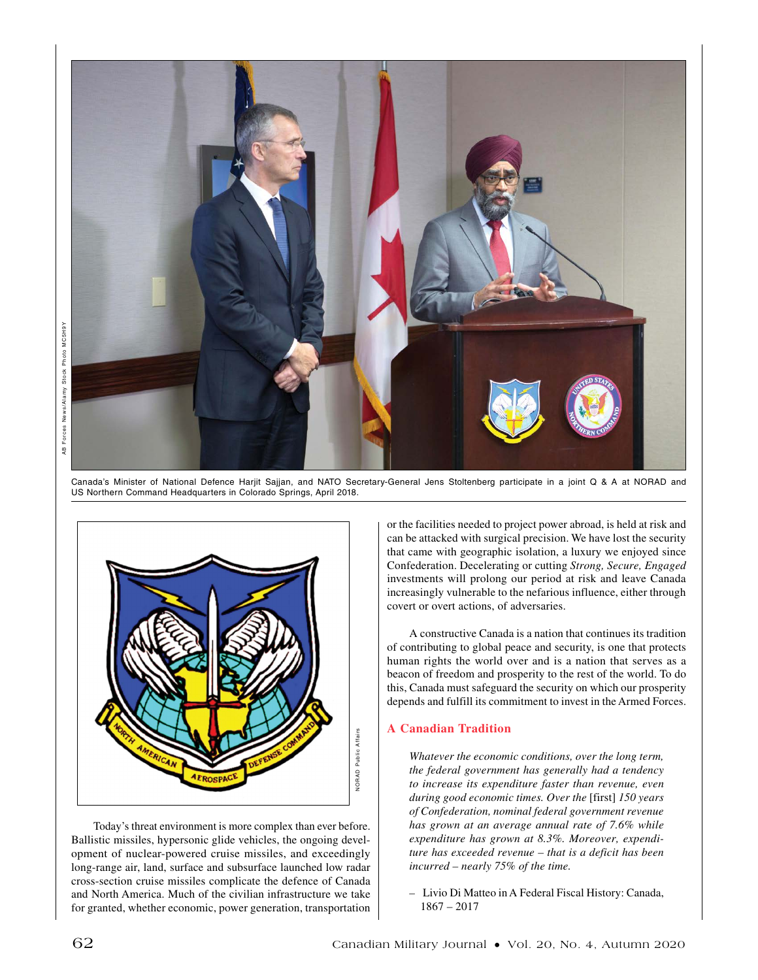

Canada's Minister of National Defence Harjit Sajjan, and NATO Secretary-General Jens Stoltenberg participate in a joint Q & A at NORAD and US Northern Command Headquarters in Colorado Springs, April 2018.



Today's threat environment is more complex than ever before. Ballistic missiles, hypersonic glide vehicles, the ongoing development of nuclear-powered cruise missiles, and exceedingly long-range air, land, surface and subsurface launched low radar cross-section cruise missiles complicate the defence of Canada and North America. Much of the civilian infrastructure we take for granted, whether economic, power generation, transportation or the facilities needed to project power abroad, is held at risk and can be attacked with surgical precision. We have lost the security that came with geographic isolation, a luxury we enjoyed since Confederation. Decelerating or cutting *Strong, Secure, Engaged*  investments will prolong our period at risk and leave Canada increasingly vulnerable to the nefarious influence, either through covert or overt actions, of adversaries.

A constructive Canada is a nation that continues its tradition of contributing to global peace and security, is one that protects human rights the world over and is a nation that serves as a beacon of freedom and prosperity to the rest of the world. To do this, Canada must safeguard the security on which our prosperity depends and fulfill its commitment to invest in the Armed Forces.

## **A Canadian Tradition**

*Whatever the economic conditions, over the long term, the federal government has generally had a tendency to increase its expenditure faster than revenue, even during good economic times. Over the* [first] *150 years of Confederation, nominal federal government revenue has grown at an average annual rate of 7.6% while expenditure has grown at 8.3%. Moreover, expenditure has exceeded revenue – that is a deficit has been incurred – nearly 75% of the time.*

*–* Livio Di Matteo in A Federal Fiscal History: Canada, 1867 – 2017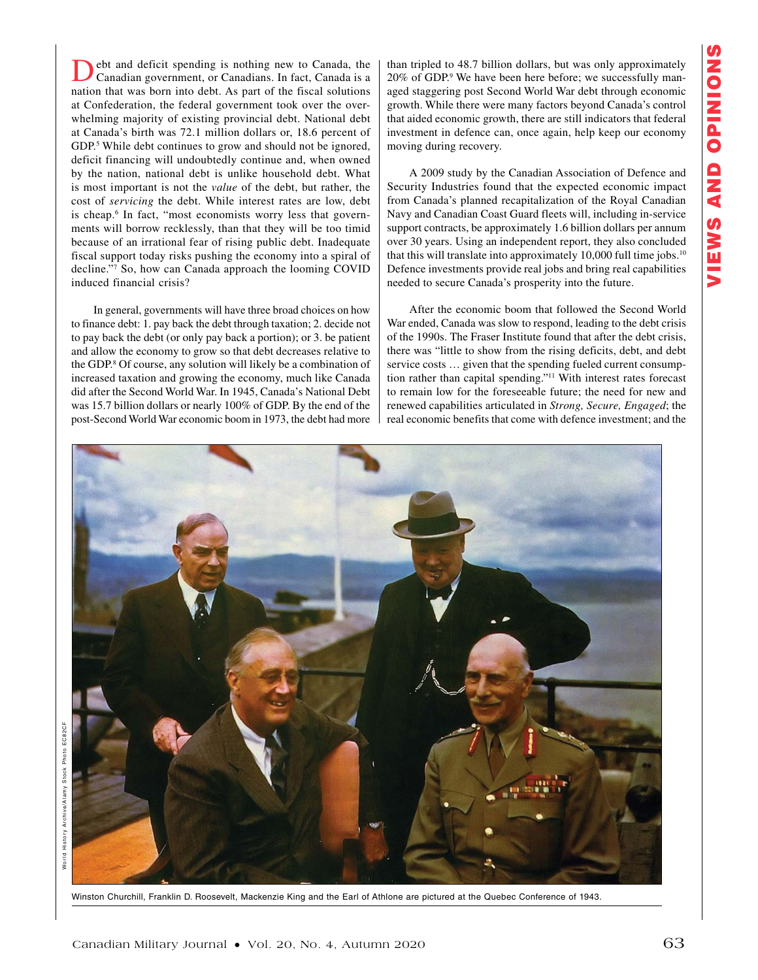ebt and deficit spending is nothing new to Canada, the Canadian government, or Canadians. In fact, Canada is a nation that was born into debt. As part of the fiscal solutions at Confederation, the federal government took over the overwhelming majority of existing provincial debt. National debt at Canada's birth was 72.1 million dollars or, 18.6 percent of GDP.<sup>5</sup> While debt continues to grow and should not be ignored, deficit financing will undoubtedly continue and, when owned by the nation, national debt is unlike household debt. What is most important is not the *value* of the debt, but rather, the cost of *servicing* the debt. While interest rates are low, debt is cheap.<sup>6</sup> In fact, "most economists worry less that governments will borrow recklessly, than that they will be too timid because of an irrational fear of rising public debt. Inadequate fiscal support today risks pushing the economy into a spiral of decline."7 So, how can Canada approach the looming COVID induced financial crisis?

In general, governments will have three broad choices on how to finance debt: 1. pay back the debt through taxation; 2. decide not to pay back the debt (or only pay back a portion); or 3. be patient and allow the economy to grow so that debt decreases relative to the GDP.8 Of course, any solution will likely be a combination of increased taxation and growing the economy, much like Canada did after the Second World War. In 1945, Canada's National Debt was 15.7 billion dollars or nearly 100% of GDP. By the end of the post-Second World War economic boom in 1973, the debt had more

than tripled to 48.7 billion dollars, but was only approximately 20% of GDP.<sup>9</sup> We have been here before; we successfully managed staggering post Second World War debt through economic growth. While there were many factors beyond Canada's control that aided economic growth, there are still indicators that federal investment in defence can, once again, help keep our economy moving during recovery.

A 2009 study by the Canadian Association of Defence and Security Industries found that the expected economic impact from Canada's planned recapitalization of the Royal Canadian Navy and Canadian Coast Guard fleets will, including in-service support contracts, be approximately 1.6 billion dollars per annum over 30 years. Using an independent report, they also concluded that this will translate into approximately  $10,000$  full time jobs.<sup>10</sup> Defence investments provide real jobs and bring real capabilities needed to secure Canada's prosperity into the future.

After the economic boom that followed the Second World War ended, Canada was slow to respond, leading to the debt crisis of the 1990s. The Fraser Institute found that after the debt crisis, there was "little to show from the rising deficits, debt, and debt service costs … given that the spending fueled current consumption rather than capital spending."11 With interest rates forecast to remain low for the foreseeable future; the need for new and renewed capabilities articulated in *Strong, Secure, Engaged*; the real economic benefits that come with defence investment; and the



Winston Churchill, Franklin D. Roosevelt, Mackenzie King and the Earl of Athlone are pictured at the Quebec Conference of 1943.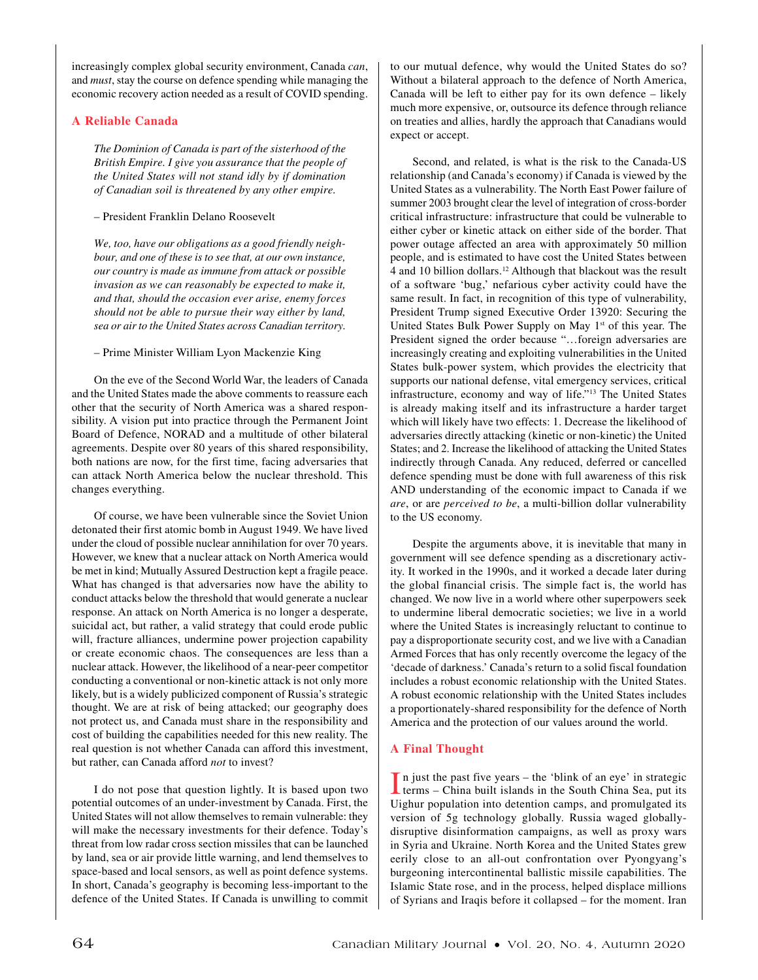increasingly complex global security environment, Canada *can*, and *must*, stay the course on defence spending while managing the economic recovery action needed as a result of COVID spending.

## **A Reliable Canada**

*The Dominion of Canada is part of the sisterhood of the British Empire. I give you assurance that the people of the United States will not stand idly by if domination of Canadian soil is threatened by any other empire.*

## – President Franklin Delano Roosevelt

*We, too, have our obligations as a good friendly neighbour, and one of these is to see that, at our own instance, our country is made as immune from attack or possible invasion as we can reasonably be expected to make it, and that, should the occasion ever arise, enemy forces should not be able to pursue their way either by land, sea or air to the United States across Canadian territory.*

– Prime Minister William Lyon Mackenzie King

On the eve of the Second World War, the leaders of Canada and the United States made the above comments to reassure each other that the security of North America was a shared responsibility. A vision put into practice through the Permanent Joint Board of Defence, NORAD and a multitude of other bilateral agreements. Despite over 80 years of this shared responsibility, both nations are now, for the first time, facing adversaries that can attack North America below the nuclear threshold. This changes everything.

Of course, we have been vulnerable since the Soviet Union detonated their first atomic bomb in August 1949. We have lived under the cloud of possible nuclear annihilation for over 70 years. However, we knew that a nuclear attack on North America would be met in kind; Mutually Assured Destruction kept a fragile peace. What has changed is that adversaries now have the ability to conduct attacks below the threshold that would generate a nuclear response. An attack on North America is no longer a desperate, suicidal act, but rather, a valid strategy that could erode public will, fracture alliances, undermine power projection capability or create economic chaos. The consequences are less than a nuclear attack. However, the likelihood of a near-peer competitor conducting a conventional or non-kinetic attack is not only more likely, but is a widely publicized component of Russia's strategic thought. We are at risk of being attacked; our geography does not protect us, and Canada must share in the responsibility and cost of building the capabilities needed for this new reality. The real question is not whether Canada can afford this investment, but rather, can Canada afford *not* to invest?

I do not pose that question lightly. It is based upon two potential outcomes of an under-investment by Canada. First, the United States will not allow themselves to remain vulnerable: they will make the necessary investments for their defence. Today's threat from low radar cross section missiles that can be launched by land, sea or air provide little warning, and lend themselves to space-based and local sensors, as well as point defence systems. In short, Canada's geography is becoming less-important to the defence of the United States. If Canada is unwilling to commit

to our mutual defence, why would the United States do so? Without a bilateral approach to the defence of North America, Canada will be left to either pay for its own defence – likely much more expensive, or, outsource its defence through reliance on treaties and allies, hardly the approach that Canadians would expect or accept.

Second, and related, is what is the risk to the Canada-US relationship (and Canada's economy) if Canada is viewed by the United States as a vulnerability. The North East Power failure of summer 2003 brought clear the level of integration of cross-border critical infrastructure: infrastructure that could be vulnerable to either cyber or kinetic attack on either side of the border. That power outage affected an area with approximately 50 million people, and is estimated to have cost the United States between 4 and 10 billion dollars.12 Although that blackout was the result of a software 'bug,' nefarious cyber activity could have the same result. In fact, in recognition of this type of vulnerability, President Trump signed Executive Order 13920: Securing the United States Bulk Power Supply on May 1<sup>st</sup> of this year. The President signed the order because "…foreign adversaries are increasingly creating and exploiting vulnerabilities in the United States bulk-power system, which provides the electricity that supports our national defense, vital emergency services, critical infrastructure, economy and way of life."13 The United States is already making itself and its infrastructure a harder target which will likely have two effects: 1. Decrease the likelihood of adversaries directly attacking (kinetic or non-kinetic) the United States; and 2. Increase the likelihood of attacking the United States indirectly through Canada. Any reduced, deferred or cancelled defence spending must be done with full awareness of this risk AND understanding of the economic impact to Canada if we *are*, or are *perceived to be*, a multi-billion dollar vulnerability to the US economy.

Despite the arguments above, it is inevitable that many in government will see defence spending as a discretionary activity. It worked in the 1990s, and it worked a decade later during the global financial crisis. The simple fact is, the world has changed. We now live in a world where other superpowers seek to undermine liberal democratic societies; we live in a world where the United States is increasingly reluctant to continue to pay a disproportionate security cost, and we live with a Canadian Armed Forces that has only recently overcome the legacy of the 'decade of darkness.' Canada's return to a solid fiscal foundation includes a robust economic relationship with the United States. A robust economic relationship with the United States includes a proportionately-shared responsibility for the defence of North America and the protection of our values around the world.

## **A Final Thought**

 $\prod$  n just the past five years – the 'blink of an eye' in strategic terms – China built islands in the South China Sea, put its n just the past five years – the 'blink of an eye' in strategic Uighur population into detention camps, and promulgated its version of 5g technology globally. Russia waged globallydisruptive disinformation campaigns, as well as proxy wars in Syria and Ukraine. North Korea and the United States grew eerily close to an all-out confrontation over Pyongyang's burgeoning intercontinental ballistic missile capabilities. The Islamic State rose, and in the process, helped displace millions of Syrians and Iraqis before it collapsed – for the moment. Iran